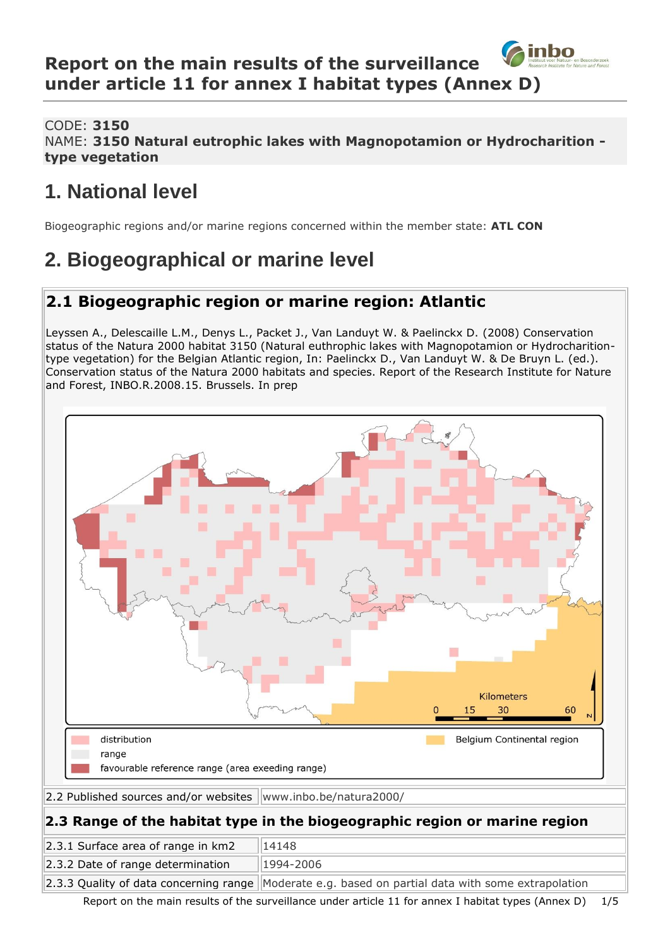#### inbo **Report on the main results of the surveillance under article 11 for annex I habitat types (Annex D)**

CODE: **3150**

NAME: **3150 Natural eutrophic lakes with Magnopotamion or Hydrocharition type vegetation**

# **1. National level**

Biogeographic regions and/or marine regions concerned within the member state: **ATL CON**

# **2. Biogeographical or marine level**

## **2.1 Biogeographic region or marine region: Atlantic**

Leyssen A., Delescaille L.M., Denys L., Packet J., Van Landuyt W. & Paelinckx D. (2008) Conservation status of the Natura 2000 habitat 3150 (Natural euthrophic lakes with Magnopotamion or Hydrocharitiontype vegetation) for the Belgian Atlantic region, In: Paelinckx D., Van Landuyt W. & De Bruyn L. (ed.). Conservation status of the Natura 2000 habitats and species. Report of the Research Institute for Nature and Forest, INBO.R.2008.15. Brussels. In prep



Report on the main results of the surveillance under article 11 for annex I habitat types (Annex D) 1/5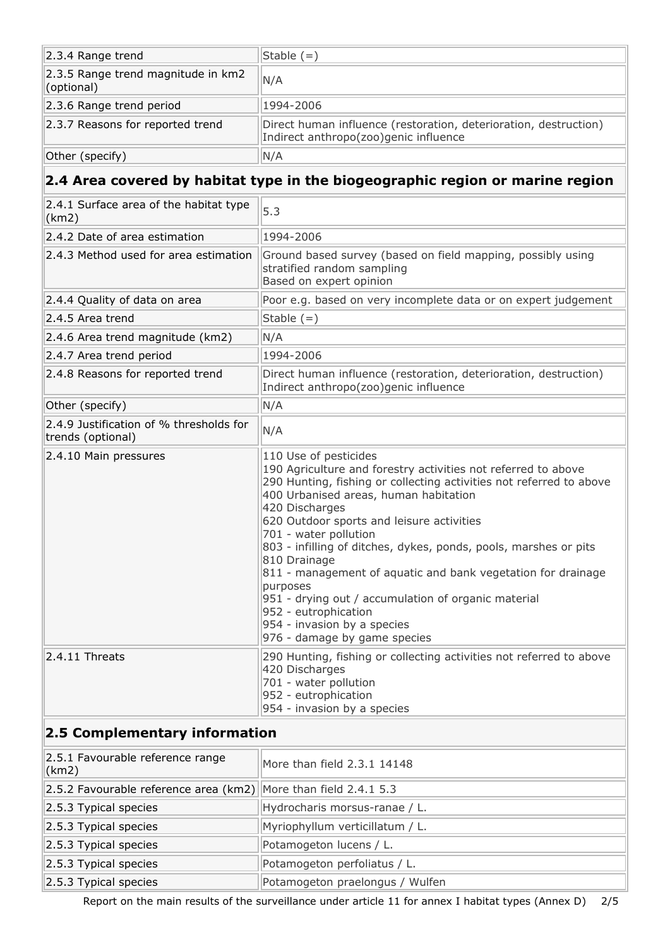| 2.3.4 Range trend                                | Stable (=)                                                                                                |
|--------------------------------------------------|-----------------------------------------------------------------------------------------------------------|
| 2.3.5 Range trend magnitude in km2<br>(optional) | N/A                                                                                                       |
| 2.3.6 Range trend period                         | 1994-2006                                                                                                 |
| 2.3.7 Reasons for reported trend                 | Direct human influence (restoration, deterioration, destruction)<br>Indirect anthropo(zoo)genic influence |
| Other (specify)                                  | N/A                                                                                                       |
|                                                  |                                                                                                           |

## **2.4 Area covered by habitat type in the biogeographic region or marine region**

| 2.4.1 Surface area of the habitat type<br>(km2)              | 5.3                                                                                                                                                                                                                                                                                                                                                                                                                                                                                                                                                                                                          |
|--------------------------------------------------------------|--------------------------------------------------------------------------------------------------------------------------------------------------------------------------------------------------------------------------------------------------------------------------------------------------------------------------------------------------------------------------------------------------------------------------------------------------------------------------------------------------------------------------------------------------------------------------------------------------------------|
| 2.4.2 Date of area estimation                                | 1994-2006                                                                                                                                                                                                                                                                                                                                                                                                                                                                                                                                                                                                    |
| 2.4.3 Method used for area estimation                        | Ground based survey (based on field mapping, possibly using<br>stratified random sampling<br>Based on expert opinion                                                                                                                                                                                                                                                                                                                                                                                                                                                                                         |
| 2.4.4 Quality of data on area                                | Poor e.g. based on very incomplete data or on expert judgement                                                                                                                                                                                                                                                                                                                                                                                                                                                                                                                                               |
| 2.4.5 Area trend                                             | Stable $(=)$                                                                                                                                                                                                                                                                                                                                                                                                                                                                                                                                                                                                 |
| 2.4.6 Area trend magnitude (km2)                             | N/A                                                                                                                                                                                                                                                                                                                                                                                                                                                                                                                                                                                                          |
| 2.4.7 Area trend period                                      | 1994-2006                                                                                                                                                                                                                                                                                                                                                                                                                                                                                                                                                                                                    |
| 2.4.8 Reasons for reported trend                             | Direct human influence (restoration, deterioration, destruction)<br>Indirect anthropo(zoo)genic influence                                                                                                                                                                                                                                                                                                                                                                                                                                                                                                    |
| Other (specify)                                              | N/A                                                                                                                                                                                                                                                                                                                                                                                                                                                                                                                                                                                                          |
| 2.4.9 Justification of % thresholds for<br>trends (optional) | N/A                                                                                                                                                                                                                                                                                                                                                                                                                                                                                                                                                                                                          |
| 2.4.10 Main pressures                                        | 110 Use of pesticides<br>190 Agriculture and forestry activities not referred to above<br>290 Hunting, fishing or collecting activities not referred to above<br>400 Urbanised areas, human habitation<br>420 Discharges<br>620 Outdoor sports and leisure activities<br>701 - water pollution<br>803 - infilling of ditches, dykes, ponds, pools, marshes or pits<br>810 Drainage<br>811 - management of aquatic and bank vegetation for drainage<br>purposes<br>951 - drying out / accumulation of organic material<br>952 - eutrophication<br>954 - invasion by a species<br>976 - damage by game species |
| $2.4.11$ Threats                                             | 290 Hunting, fishing or collecting activities not referred to above<br>420 Discharges<br>701 - water pollution<br>952 - eutrophication<br>954 - invasion by a species                                                                                                                                                                                                                                                                                                                                                                                                                                        |

### **2.5 Complementary information**

| 2.5.1 Favourable reference range<br>(km2)                       | More than field 2.3.1 14148     |
|-----------------------------------------------------------------|---------------------------------|
| 2.5.2 Favourable reference area (km2) More than field 2.4.1 5.3 |                                 |
| 2.5.3 Typical species                                           | Hydrocharis morsus-ranae / L.   |
| 2.5.3 Typical species                                           | Myriophyllum verticillatum / L. |
| 2.5.3 Typical species                                           | Potamogeton lucens / L.         |
| 2.5.3 Typical species                                           | Potamogeton perfoliatus / L.    |
| 2.5.3 Typical species                                           | Potamogeton praelongus / Wulfen |

Report on the main results of the surveillance under article 11 for annex I habitat types (Annex D) 2/5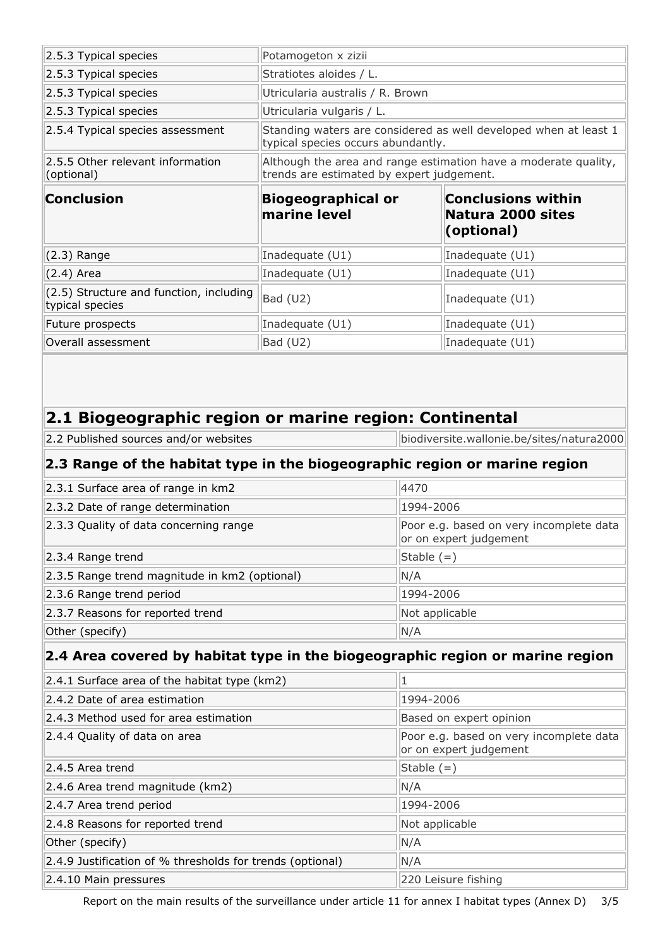| 2.5.3 Typical species                                                                           | Potamogeton x zizii                                                                                          |                                                                   |  |
|-------------------------------------------------------------------------------------------------|--------------------------------------------------------------------------------------------------------------|-------------------------------------------------------------------|--|
| 2.5.3 Typical species                                                                           | Stratiotes aloides / L.                                                                                      |                                                                   |  |
| 2.5.3 Typical species                                                                           | Utricularia australis / R. Brown                                                                             |                                                                   |  |
| 2.5.3 Typical species                                                                           | Utricularia vulgaris / L.                                                                                    |                                                                   |  |
| 2.5.4 Typical species assessment                                                                | Standing waters are considered as well developed when at least 1<br>typical species occurs abundantly.       |                                                                   |  |
| 2.5.5 Other relevant information<br>(optional)                                                  | Although the area and range estimation have a moderate quality,<br>trends are estimated by expert judgement. |                                                                   |  |
| <b>Conclusion</b>                                                                               | <b>Biogeographical or</b><br>marine level                                                                    | <b>Conclusions within</b><br>Natura 2000 sites<br>(optional)      |  |
| $(2.3)$ Range                                                                                   | Inadequate (U1)                                                                                              | Inadequate (U1)                                                   |  |
| $(2.4)$ Area                                                                                    | Inadequate (U1)                                                                                              | Inadequate (U1)                                                   |  |
| (2.5) Structure and function, including<br>typical species                                      | Bad (U2)                                                                                                     | Inadequate (U1)                                                   |  |
| Future prospects                                                                                | Inadequate (U1)                                                                                              | Inadequate (U1)                                                   |  |
| Overall assessment                                                                              | Bad (U2)                                                                                                     | Inadequate (U1)                                                   |  |
|                                                                                                 |                                                                                                              |                                                                   |  |
| 2.1 Biogeographic region or marine region: Continental<br>2.2 Published sources and/or websites |                                                                                                              | biodiversite.wallonie.be/sites/natura2000                         |  |
| 2.3 Range of the habitat type in the biogeographic region or marine region                      |                                                                                                              |                                                                   |  |
| 2.3.1 Surface area of range in km2                                                              | 4470                                                                                                         |                                                                   |  |
| 2.3.2 Date of range determination                                                               |                                                                                                              | 1994-2006                                                         |  |
| 2.3.3 Quality of data concerning range                                                          |                                                                                                              | Poor e.g. based on very incomplete data<br>or on expert judgement |  |
| 2.3.4 Range trend                                                                               |                                                                                                              | Stable $(=)$                                                      |  |
| 2.3.5 Range trend magnitude in km2 (optional)                                                   | N/A                                                                                                          |                                                                   |  |
| 2.3.6 Range trend period                                                                        |                                                                                                              | 1994-2006                                                         |  |
| 2.3.7 Reasons for reported trend                                                                |                                                                                                              | Not applicable                                                    |  |
| Other (specify)                                                                                 | N/A                                                                                                          |                                                                   |  |
| 2.4 Area covered by habitat type in the biogeographic region or marine region                   |                                                                                                              |                                                                   |  |
| 2.4.1 Surface area of the habitat type (km2)                                                    | 1                                                                                                            |                                                                   |  |
| 2.4.2 Date of area estimation                                                                   |                                                                                                              | 1994-2006                                                         |  |
| 2.4.3 Method used for area estimation                                                           |                                                                                                              | Based on expert opinion                                           |  |
| 2.4.4 Quality of data on area                                                                   |                                                                                                              | Poor e.g. based on very incomplete data<br>or on expert judgement |  |
| 2.4.5 Area trend                                                                                |                                                                                                              | Stable $(=)$                                                      |  |

Report on the main results of the surveillance under article 11 for annex I habitat types (Annex D) 3/5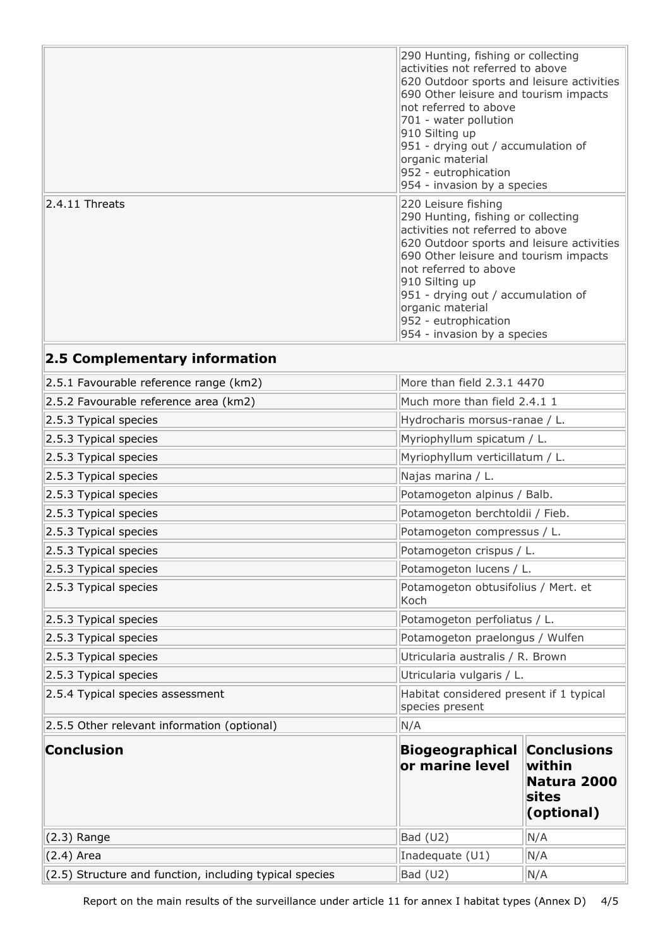|                   | 290 Hunting, fishing or collecting<br>activities not referred to above<br>620 Outdoor sports and leisure activities<br>690 Other leisure and tourism impacts<br>not referred to above<br>701 - water pollution<br>910 Silting up<br>951 - drying out / accumulation of<br>organic material<br>952 - eutrophication<br>954 - invasion by a species |
|-------------------|---------------------------------------------------------------------------------------------------------------------------------------------------------------------------------------------------------------------------------------------------------------------------------------------------------------------------------------------------|
| $ 2.4.11$ Threats | 220 Leisure fishing<br>290 Hunting, fishing or collecting<br>activities not referred to above<br>620 Outdoor sports and leisure activities<br>690 Other leisure and tourism impacts<br>not referred to above<br>910 Silting up<br>951 - drying out / accumulation of<br>organic material<br>952 - eutrophication<br>954 - invasion by a species   |

# **2.5 Complementary information**

| 2.5.1 Favourable reference range (km2)                  |                                             | More than field 2.3.1 4470                                         |  |
|---------------------------------------------------------|---------------------------------------------|--------------------------------------------------------------------|--|
| 2.5.2 Favourable reference area (km2)                   | Much more than field 2.4.1 1                |                                                                    |  |
| 2.5.3 Typical species                                   | Hydrocharis morsus-ranae / L.               |                                                                    |  |
| 2.5.3 Typical species                                   | Myriophyllum spicatum / L.                  |                                                                    |  |
| 2.5.3 Typical species                                   | Myriophyllum verticillatum / L.             |                                                                    |  |
| 2.5.3 Typical species                                   | Najas marina / L.                           |                                                                    |  |
| 2.5.3 Typical species                                   |                                             | Potamogeton alpinus / Balb.                                        |  |
| 2.5.3 Typical species                                   |                                             | Potamogeton berchtoldii / Fieb.                                    |  |
| 2.5.3 Typical species                                   |                                             | Potamogeton compressus / L.                                        |  |
| 2.5.3 Typical species                                   |                                             | Potamogeton crispus / L.                                           |  |
| 2.5.3 Typical species                                   |                                             | Potamogeton lucens / L.                                            |  |
| 2.5.3 Typical species                                   | Potamogeton obtusifolius / Mert. et<br>Koch |                                                                    |  |
| 2.5.3 Typical species                                   |                                             | Potamogeton perfoliatus / L.                                       |  |
| 2.5.3 Typical species                                   | Potamogeton praelongus / Wulfen             |                                                                    |  |
| 2.5.3 Typical species                                   | Utricularia australis / R. Brown            |                                                                    |  |
| $2.5.3$ Typical species                                 | Utricularia vulgaris / L.                   |                                                                    |  |
| 2.5.4 Typical species assessment                        | species present                             | Habitat considered present if 1 typical                            |  |
| 2.5.5 Other relevant information (optional)             | N/A                                         |                                                                    |  |
| <b>Conclusion</b>                                       | <b>Biogeographical</b><br>or marine level   | <b>Conclusions</b><br>within<br>Natura 2000<br>sites<br>(optional) |  |
| $(2.3)$ Range                                           | Bad (U2)                                    | N/A                                                                |  |
| $(2.4)$ Area                                            | Inadequate (U1)                             | N/A                                                                |  |
| (2.5) Structure and function, including typical species | Bad (U2)                                    | N/A                                                                |  |